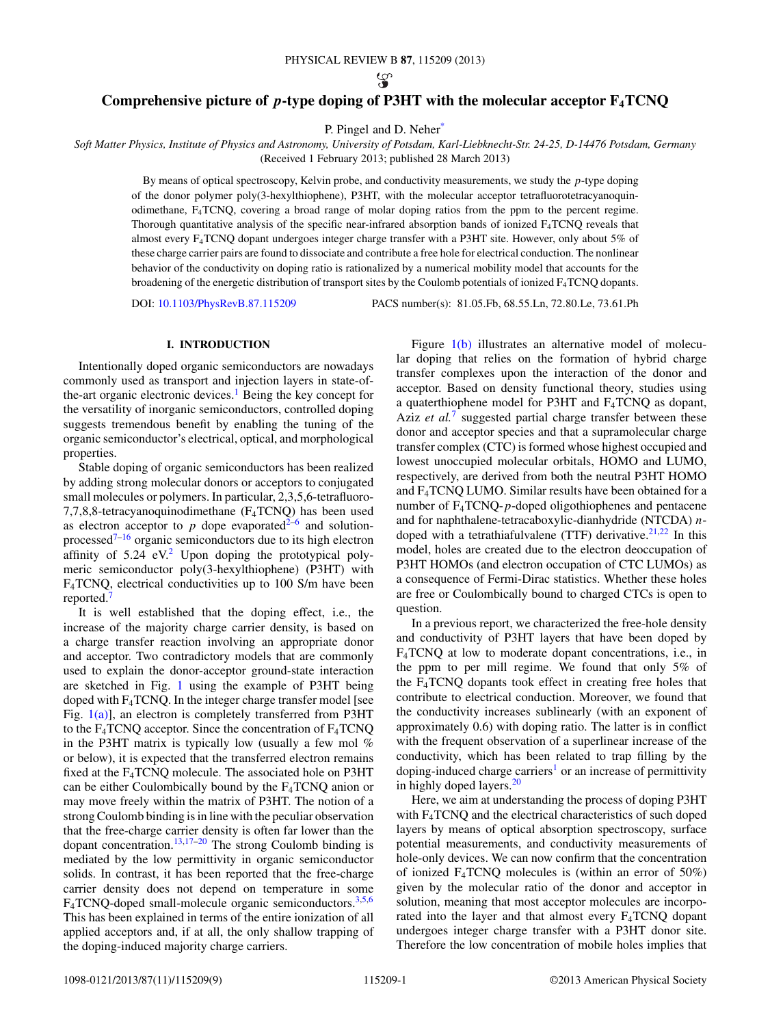$\mathcal{D}$ 

# **Comprehensive picture of** *p***-type doping of P3HT with the molecular acceptor F4TCNQ**

P. Pingel and D. Nehe[r\\*](#page-8-0)

*Soft Matter Physics, Institute of Physics and Astronomy, University of Potsdam, Karl-Liebknecht-Str. 24-25, D-14476 Potsdam, Germany* (Received 1 February 2013; published 28 March 2013)

By means of optical spectroscopy, Kelvin probe, and conductivity measurements, we study the *p*-type doping of the donor polymer poly(3-hexylthiophene), P3HT, with the molecular acceptor tetrafluorotetracyanoquinodimethane, F4TCNQ, covering a broad range of molar doping ratios from the ppm to the percent regime. Thorough quantitative analysis of the specific near-infrared absorption bands of ionized  $F_4TCNQ$  reveals that almost every F4TCNQ dopant undergoes integer charge transfer with a P3HT site. However, only about 5% of these charge carrier pairs are found to dissociate and contribute a free hole for electrical conduction. The nonlinear behavior of the conductivity on doping ratio is rationalized by a numerical mobility model that accounts for the broadening of the energetic distribution of transport sites by the Coulomb potentials of ionized  $F_4TCNQ$  dopants.

DOI: [10.1103/PhysRevB.87.115209](http://dx.doi.org/10.1103/PhysRevB.87.115209) PACS number(s): 81*.*05*.*Fb, 68*.*55*.*Ln, 72*.*80*.*Le, 73*.*61*.*Ph

## **I. INTRODUCTION**

Intentionally doped organic semiconductors are nowadays commonly used as transport and injection layers in state-of-the-art organic electronic devices.<sup>[1](#page-8-0)</sup> Being the key concept for the versatility of inorganic semiconductors, controlled doping suggests tremendous benefit by enabling the tuning of the organic semiconductor's electrical, optical, and morphological properties.

Stable doping of organic semiconductors has been realized by adding strong molecular donors or acceptors to conjugated small molecules or polymers. In particular, 2,3,5,6-tetrafluoro-7,7,8,8-tetracyanoquinodimethane (F4TCNQ) has been used as electron acceptor to  $p$  dope evaporated<sup>2–6</sup> and solutionprocessed $7-16$  organic semiconductors due to its high electron affinity of  $5.24$  $5.24$  $5.24$  eV.<sup>2</sup> Upon doping the prototypical polymeric semiconductor poly(3-hexylthiophene) (P3HT) with F4TCNQ, electrical conductivities up to 100 S/m have been reported.<sup>[7](#page-8-0)</sup>

It is well established that the doping effect, i.e., the increase of the majority charge carrier density, is based on a charge transfer reaction involving an appropriate donor and acceptor. Two contradictory models that are commonly used to explain the donor-acceptor ground-state interaction are sketched in Fig. [1](#page-1-0) using the example of P3HT being doped with  $F_4TCNQ$ . In the integer charge transfer model [see Fig.  $1(a)$ ], an electron is completely transferred from P3HT to the  $F_4$ TCNQ acceptor. Since the concentration of  $F_4$ TCNQ in the P3HT matrix is typically low (usually a few mol % or below), it is expected that the transferred electron remains fixed at the F4TCNQ molecule. The associated hole on P3HT can be either Coulombically bound by the  $F_4TCNQ$  anion or may move freely within the matrix of P3HT. The notion of a strong Coulomb binding is in line with the peculiar observation that the free-charge carrier density is often far lower than the dopant concentration.[13,17–20](#page-8-0) The strong Coulomb binding is mediated by the low permittivity in organic semiconductor solids. In contrast, it has been reported that the free-charge carrier density does not depend on temperature in some  $F_4$ TCNQ-doped small-molecule organic semiconductors.<sup>[3,5,6](#page-8-0)</sup> This has been explained in terms of the entire ionization of all applied acceptors and, if at all, the only shallow trapping of the doping-induced majority charge carriers.

Figure [1\(b\)](#page-1-0) illustrates an alternative model of molecular doping that relies on the formation of hybrid charge transfer complexes upon the interaction of the donor and acceptor. Based on density functional theory, studies using a quaterthiophene model for P3HT and F4TCNQ as dopant, Aziz *et al.*<sup>[7](#page-8-0)</sup> suggested partial charge transfer between these donor and acceptor species and that a supramolecular charge transfer complex (CTC) is formed whose highest occupied and lowest unoccupied molecular orbitals, HOMO and LUMO, respectively, are derived from both the neutral P3HT HOMO and F4TCNQ LUMO. Similar results have been obtained for a number of F4TCNQ-*p*-doped oligothiophenes and pentacene and for naphthalene-tetracaboxylic-dianhydride (NTCDA) *n*doped with a tetrathiafulvalene (TTF) derivative. $21,22$  In this model, holes are created due to the electron deoccupation of P3HT HOMOs (and electron occupation of CTC LUMOs) as a consequence of Fermi-Dirac statistics. Whether these holes are free or Coulombically bound to charged CTCs is open to question.

In a previous report, we characterized the free-hole density and conductivity of P3HT layers that have been doped by F4TCNQ at low to moderate dopant concentrations, i.e., in the ppm to per mill regime. We found that only 5% of the F4TCNQ dopants took effect in creating free holes that contribute to electrical conduction. Moreover, we found that the conductivity increases sublinearly (with an exponent of approximately 0.6) with doping ratio. The latter is in conflict with the frequent observation of a superlinear increase of the conductivity, which has been related to trap filling by the doping-induced charge carriers<sup>1</sup> or an increase of permittivity in highly doped layers.<sup>20</sup>

Here, we aim at understanding the process of doping P3HT with F4TCNQ and the electrical characteristics of such doped layers by means of optical absorption spectroscopy, surface potential measurements, and conductivity measurements of hole-only devices. We can now confirm that the concentration of ionized  $F_4TCNQ$  molecules is (within an error of 50%) given by the molecular ratio of the donor and acceptor in solution, meaning that most acceptor molecules are incorporated into the layer and that almost every F4TCNQ dopant undergoes integer charge transfer with a P3HT donor site. Therefore the low concentration of mobile holes implies that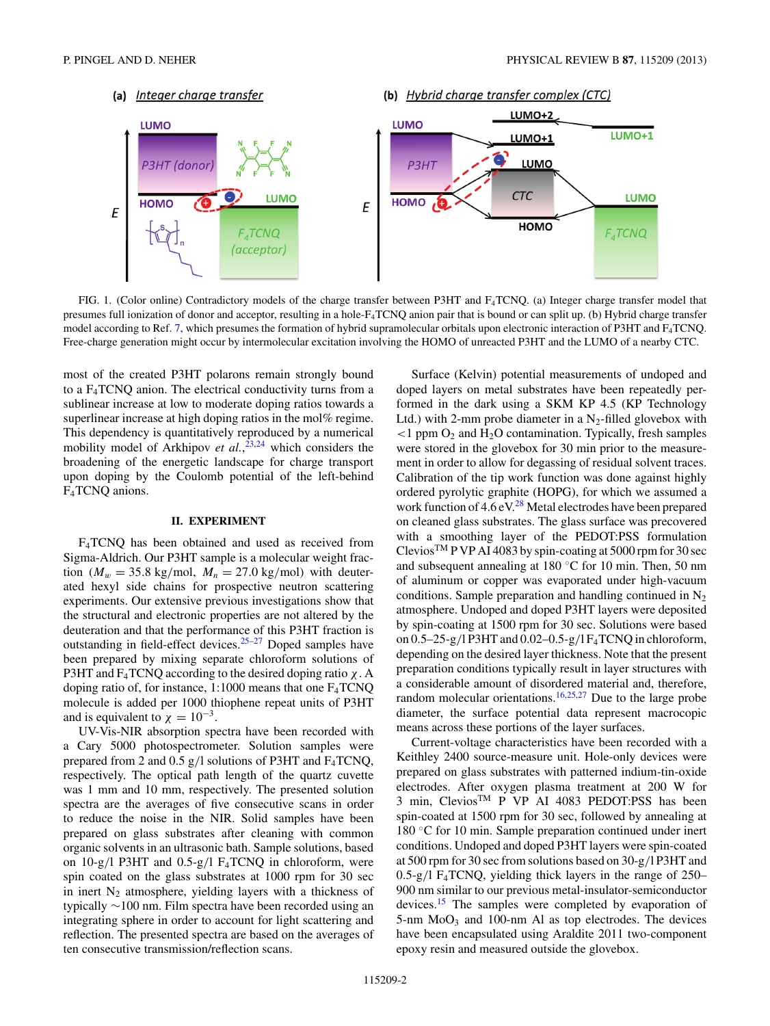<span id="page-1-0"></span>

FIG. 1. (Color online) Contradictory models of the charge transfer between P3HT and F4TCNQ. (a) Integer charge transfer model that presumes full ionization of donor and acceptor, resulting in a hole-F4TCNQ anion pair that is bound or can split up. (b) Hybrid charge transfer model according to Ref. [7,](#page-8-0) which presumes the formation of hybrid supramolecular orbitals upon electronic interaction of P3HT and F<sub>4</sub>TCNQ. Free-charge generation might occur by intermolecular excitation involving the HOMO of unreacted P3HT and the LUMO of a nearby CTC.

most of the created P3HT polarons remain strongly bound to a F4TCNQ anion. The electrical conductivity turns from a sublinear increase at low to moderate doping ratios towards a superlinear increase at high doping ratios in the mol% regime. This dependency is quantitatively reproduced by a numerical mobility model of Arkhipov *et al.*, [23,24](#page-8-0) which considers the broadening of the energetic landscape for charge transport upon doping by the Coulomb potential of the left-behind F<sub>4</sub>TCNQ anions.

### **II. EXPERIMENT**

F4TCNQ has been obtained and used as received from Sigma-Aldrich. Our P3HT sample is a molecular weight fraction ( $M_w = 35.8$  kg/mol,  $M_n = 27.0$  kg/mol) with deuterated hexyl side chains for prospective neutron scattering experiments. Our extensive previous investigations show that the structural and electronic properties are not altered by the deuteration and that the performance of this P3HT fraction is outstanding in field-effect devices.<sup>[25–27](#page-8-0)</sup> Doped samples have been prepared by mixing separate chloroform solutions of P3HT and F4TCNQ according to the desired doping ratio *χ*. A doping ratio of, for instance, 1:1000 means that one F4TCNQ molecule is added per 1000 thiophene repeat units of P3HT and is equivalent to  $\chi = 10^{-3}$ .

UV-Vis-NIR absorption spectra have been recorded with a Cary 5000 photospectrometer. Solution samples were prepared from 2 and 0.5 g*/*l solutions of P3HT and F4TCNQ, respectively. The optical path length of the quartz cuvette was 1 mm and 10 mm, respectively. The presented solution spectra are the averages of five consecutive scans in order to reduce the noise in the NIR. Solid samples have been prepared on glass substrates after cleaning with common organic solvents in an ultrasonic bath. Sample solutions, based on 10-g*/*l P3HT and 0.5-g*/*l F4TCNQ in chloroform, were spin coated on the glass substrates at 1000 rpm for 30 sec in inert  $N_2$  atmosphere, yielding layers with a thickness of typically ∼100 nm. Film spectra have been recorded using an integrating sphere in order to account for light scattering and reflection. The presented spectra are based on the averages of ten consecutive transmission/reflection scans.

Surface (Kelvin) potential measurements of undoped and doped layers on metal substrates have been repeatedly performed in the dark using a SKM KP 4.5 (KP Technology Ltd.) with 2-mm probe diameter in a  $N_2$ -filled glovebox with  $<$ 1 ppm  $O_2$  and  $H_2O$  contamination. Typically, fresh samples were stored in the glovebox for 30 min prior to the measurement in order to allow for degassing of residual solvent traces. Calibration of the tip work function was done against highly ordered pyrolytic graphite (HOPG), for which we assumed a work function of  $4.6 \text{ eV}^{28}$  Metal electrodes have been prepared on cleaned glass substrates. The glass surface was precovered with a smoothing layer of the PEDOT:PSS formulation Clevios<sup>TM</sup> P VP AI 4083 by spin-coating at 5000 rpm for 30 sec and subsequent annealing at 180 ◦C for 10 min. Then, 50 nm of aluminum or copper was evaporated under high-vacuum conditions. Sample preparation and handling continued in  $N_2$ atmosphere. Undoped and doped P3HT layers were deposited by spin-coating at 1500 rpm for 30 sec. Solutions were based on 0.5–25-g*/*l P3HT and 0.02–0.5-g*/*l F4TCNQ in chloroform, depending on the desired layer thickness. Note that the present preparation conditions typically result in layer structures with a considerable amount of disordered material and, therefore, random molecular orientations.<sup>[16,25,27](#page-8-0)</sup> Due to the large probe diameter, the surface potential data represent macrocopic means across these portions of the layer surfaces.

Current-voltage characteristics have been recorded with a Keithley 2400 source-measure unit. Hole-only devices were prepared on glass substrates with patterned indium-tin-oxide electrodes. After oxygen plasma treatment at 200 W for 3 min, Clevios<sup>™</sup> P VP AI 4083 PEDOT:PSS has been spin-coated at 1500 rpm for 30 sec, followed by annealing at 180 ◦C for 10 min. Sample preparation continued under inert conditions. Undoped and doped P3HT layers were spin-coated at 500 rpm for 30 sec from solutions based on 30-g*/*l P3HT and 0.5-g*/*l F4TCNQ, yielding thick layers in the range of 250– 900 nm similar to our previous metal-insulator-semiconductor devices.[15](#page-8-0) The samples were completed by evaporation of  $5\text{-}nm \text{ MoO}_3$  and 100-nm Al as top electrodes. The devices have been encapsulated using Araldite 2011 two-component epoxy resin and measured outside the glovebox.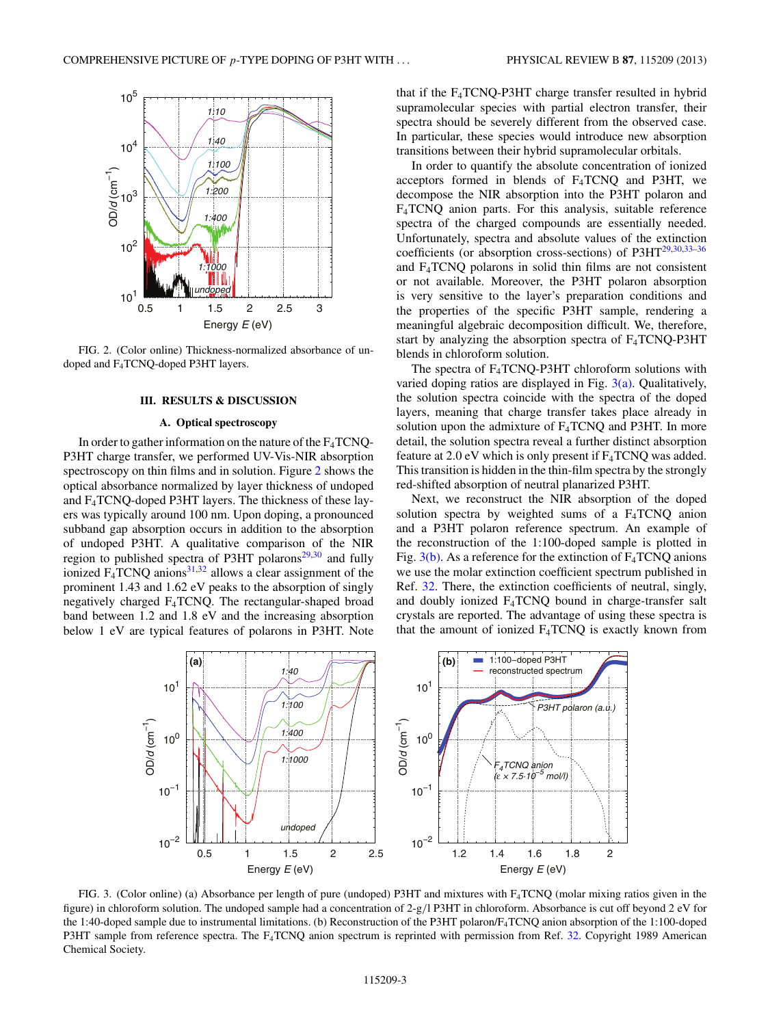<span id="page-2-0"></span>

FIG. 2. (Color online) Thickness-normalized absorbance of undoped and F4TCNQ-doped P3HT layers.

## **III. RESULTS & DISCUSSION**

#### **A. Optical spectroscopy**

In order to gather information on the nature of the  $F_4TCNQ$ -P3HT charge transfer, we performed UV-Vis-NIR absorption spectroscopy on thin films and in solution. Figure 2 shows the optical absorbance normalized by layer thickness of undoped and F4TCNQ-doped P3HT layers. The thickness of these layers was typically around 100 nm. Upon doping, a pronounced subband gap absorption occurs in addition to the absorption of undoped P3HT. A qualitative comparison of the NIR region to published spectra of P3HT polarons $29,30$  and fully ionized  $F_4$ TCNQ anions<sup>[31,32](#page-8-0)</sup> allows a clear assignment of the prominent 1.43 and 1.62 eV peaks to the absorption of singly negatively charged F4TCNQ. The rectangular-shaped broad band between 1.2 and 1.8 eV and the increasing absorption below 1 eV are typical features of polarons in P3HT. Note that if the F4TCNQ-P3HT charge transfer resulted in hybrid supramolecular species with partial electron transfer, their spectra should be severely different from the observed case. In particular, these species would introduce new absorption transitions between their hybrid supramolecular orbitals.

In order to quantify the absolute concentration of ionized acceptors formed in blends of F4TCNQ and P3HT, we decompose the NIR absorption into the P3HT polaron and F4TCNQ anion parts. For this analysis, suitable reference spectra of the charged compounds are essentially needed. Unfortunately, spectra and absolute values of the extinction coefficients (or absorption cross-sections) of P3H[T29,30,33–36](#page-8-0) and F4TCNQ polarons in solid thin films are not consistent or not available. Moreover, the P3HT polaron absorption is very sensitive to the layer's preparation conditions and the properties of the specific P3HT sample, rendering a meaningful algebraic decomposition difficult. We, therefore, start by analyzing the absorption spectra of  $F_4TCNQ-P3HT$ blends in chloroform solution.

The spectra of  $F_4TCNQ-P3HT$  chloroform solutions with varied doping ratios are displayed in Fig.  $3(a)$ . Qualitatively, the solution spectra coincide with the spectra of the doped layers, meaning that charge transfer takes place already in solution upon the admixture of  $F_4TCNQ$  and P3HT. In more detail, the solution spectra reveal a further distinct absorption feature at  $2.0 \text{ eV}$  which is only present if  $F_4TCNQ$  was added. This transition is hidden in the thin-film spectra by the strongly red-shifted absorption of neutral planarized P3HT.

Next, we reconstruct the NIR absorption of the doped solution spectra by weighted sums of a F4TCNQ anion and a P3HT polaron reference spectrum. An example of the reconstruction of the 1:100-doped sample is plotted in Fig.  $3(b)$ . As a reference for the extinction of  $F_4TCNQ$  anions we use the molar extinction coefficient spectrum published in Ref. [32.](#page-8-0) There, the extinction coefficients of neutral, singly, and doubly ionized  $F_4TCNQ$  bound in charge-transfer salt crystals are reported. The advantage of using these spectra is that the amount of ionized  $F_4TCNQ$  is exactly known from



FIG. 3. (Color online) (a) Absorbance per length of pure (undoped) P3HT and mixtures with F4TCNQ (molar mixing ratios given in the figure) in chloroform solution. The undoped sample had a concentration of 2-g*/*l P3HT in chloroform. Absorbance is cut off beyond 2 eV for the 1:40-doped sample due to instrumental limitations. (b) Reconstruction of the P3HT polaron/F4TCNQ anion absorption of the 1:100-doped P3HT sample from reference spectra. The F<sub>4</sub>TCNQ anion spectrum is reprinted with permission from Ref. [32.](#page-8-0) Copyright 1989 American Chemical Society.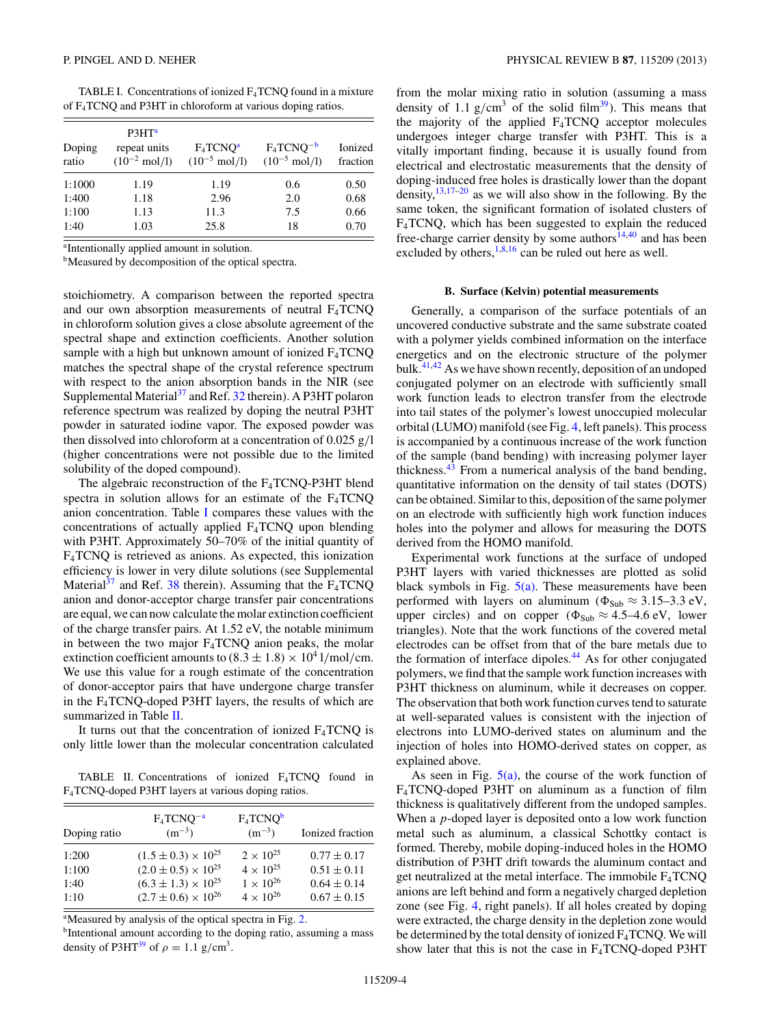| TABLE I. Concentrations of ionized $F_4$ TCNQ found in a mixture |  |
|------------------------------------------------------------------|--|
| of $F_4$ TCNQ and P3HT in chloroform at various doping ratios.   |  |

| Doping<br>ratio | P3HT <sup>a</sup><br>repeat units<br>$(10^{-2} \text{ mol/l})$ | $F_4TCNQ^a$<br>$(10^{-5} \text{ mol/l})$ | $F_4TCNQ^{-b}$<br>$(10^{-5} \text{ mol/l})$ | Ionized<br>fraction |
|-----------------|----------------------------------------------------------------|------------------------------------------|---------------------------------------------|---------------------|
| 1:1000          | 1.19                                                           | 1.19                                     | 0.6                                         | 0.50                |
| 1:400           | 1.18                                                           | 2.96                                     | 2.0                                         | 0.68                |
| 1:100           | 1.13                                                           | 11.3                                     | 7.5                                         | 0.66                |
| 1:40            | 1.03                                                           | 25.8                                     | 18                                          | 0.70                |

a Intentionally applied amount in solution.

bMeasured by decomposition of the optical spectra.

stoichiometry. A comparison between the reported spectra and our own absorption measurements of neutral  $F_4TCNQ$ in chloroform solution gives a close absolute agreement of the spectral shape and extinction coefficients. Another solution sample with a high but unknown amount of ionized  $F_4TCNQ$ matches the spectral shape of the crystal reference spectrum with respect to the anion absorption bands in the NIR (see Supplemental Material<sup>37</sup> and Ref. [32](#page-8-0) therein). A P3HT polaron reference spectrum was realized by doping the neutral P3HT powder in saturated iodine vapor. The exposed powder was then dissolved into chloroform at a concentration of 0.025 g*/*l (higher concentrations were not possible due to the limited solubility of the doped compound).

The algebraic reconstruction of the  $F_4TCNQ-P3HT$  blend spectra in solution allows for an estimate of the  $F_4TCNQ$ anion concentration. Table I compares these values with the concentrations of actually applied F4TCNQ upon blending with P3HT. Approximately 50–70% of the initial quantity of F4TCNQ is retrieved as anions. As expected, this ionization efficiency is lower in very dilute solutions (see Supplemental Material<sup>[37](#page-8-0)</sup> and Ref. [38](#page-8-0) therein). Assuming that the  $F_4TCNQ$ anion and donor-acceptor charge transfer pair concentrations are equal, we can now calculate the molar extinction coefficient of the charge transfer pairs. At 1.52 eV, the notable minimum in between the two major  $F_4TCNQ$  anion peaks, the molar extinction coefficient amounts to  $(8.3 \pm 1.8) \times 10^4$  l/mol/cm. We use this value for a rough estimate of the concentration of donor-acceptor pairs that have undergone charge transfer in the F4TCNQ-doped P3HT layers, the results of which are summarized in Table II.

It turns out that the concentration of ionized  $F_4TCNQ$  is only little lower than the molecular concentration calculated

TABLE II. Concentrations of ionized F4TCNQ found in F4TCNQ-doped P3HT layers at various doping ratios.

| Doping ratio | $F_4$ TCNQ <sup>-a</sup><br>$(m^{-3})$ | $F_4TCNQ^b$<br>$(m^{-3})$ | Ionized fraction |
|--------------|----------------------------------------|---------------------------|------------------|
| 1:200        | $(1.5 \pm 0.3) \times 10^{25}$         | $2 \times 10^{25}$        | $0.77 \pm 0.17$  |
| 1:100        | $(2.0 \pm 0.5) \times 10^{25}$         | $4 \times 10^{25}$        | $0.51 \pm 0.11$  |
| 1:40         | $(6.3 \pm 1.3) \times 10^{25}$         | $1 \times 10^{26}$        | $0.64 \pm 0.14$  |
| 1:10         | $(2.7 \pm 0.6) \times 10^{26}$         | $4 \times 10^{26}$        | $0.67 \pm 0.15$  |

<sup>a</sup>Measured by analysis of the optical spectra in Fig. [2.](#page-2-0)

bIntentional amount according to the doping ratio, assuming a mass density of P3HT<sup>[39](#page-8-0)</sup> of  $\rho = 1.1$  g/cm<sup>3</sup>.

from the molar mixing ratio in solution (assuming a mass density of 1.1  $g/cm^3$  of the solid film<sup>39</sup>). This means that the majority of the applied  $F_4TCNQ$  acceptor molecules undergoes integer charge transfer with P3HT. This is a vitally important finding, because it is usually found from electrical and electrostatic measurements that the density of doping-induced free holes is drastically lower than the dopant density, $13,17-20$  as we will also show in the following. By the same token, the significant formation of isolated clusters of F4TCNQ, which has been suggested to explain the reduced free-charge carrier density by some authors $14,40$  and has been excluded by others,  $1,8,16$  can be ruled out here as well.

#### **B. Surface (Kelvin) potential measurements**

Generally, a comparison of the surface potentials of an uncovered conductive substrate and the same substrate coated with a polymer yields combined information on the interface energetics and on the electronic structure of the polymer bulk. $41,42$  As we have shown recently, deposition of an undoped conjugated polymer on an electrode with sufficiently small work function leads to electron transfer from the electrode into tail states of the polymer's lowest unoccupied molecular orbital (LUMO) manifold (see Fig. [4,](#page-4-0) left panels). This process is accompanied by a continuous increase of the work function of the sample (band bending) with increasing polymer layer thickness. $43$  From a numerical analysis of the band bending, quantitative information on the density of tail states (DOTS) can be obtained. Similar to this, deposition of the same polymer on an electrode with sufficiently high work function induces holes into the polymer and allows for measuring the DOTS derived from the HOMO manifold.

Experimental work functions at the surface of undoped P3HT layers with varied thicknesses are plotted as solid black symbols in Fig.  $5(a)$ . These measurements have been performed with layers on aluminum ( $\Phi_{\text{Sub}} \approx 3.15-3.3 \text{ eV}$ , upper circles) and on copper ( $\Phi_{\text{Sub}} \approx 4.5-4.6 \text{ eV}$ , lower triangles). Note that the work functions of the covered metal electrodes can be offset from that of the bare metals due to the formation of interface dipoles.<sup>44</sup> As for other conjugated polymers, we find that the sample work function increases with P3HT thickness on aluminum, while it decreases on copper. The observation that both work function curves tend to saturate at well-separated values is consistent with the injection of electrons into LUMO-derived states on aluminum and the injection of holes into HOMO-derived states on copper, as explained above.

As seen in Fig.  $5(a)$ , the course of the work function of F4TCNQ-doped P3HT on aluminum as a function of film thickness is qualitatively different from the undoped samples. When a *p*-doped layer is deposited onto a low work function metal such as aluminum, a classical Schottky contact is formed. Thereby, mobile doping-induced holes in the HOMO distribution of P3HT drift towards the aluminum contact and get neutralized at the metal interface. The immobile  $F_4TCNQ$ anions are left behind and form a negatively charged depletion zone (see Fig. [4,](#page-4-0) right panels). If all holes created by doping were extracted, the charge density in the depletion zone would be determined by the total density of ionized  $F_4TCNQ$ . We will show later that this is not the case in  $F_4TCNQ$ -doped P3HT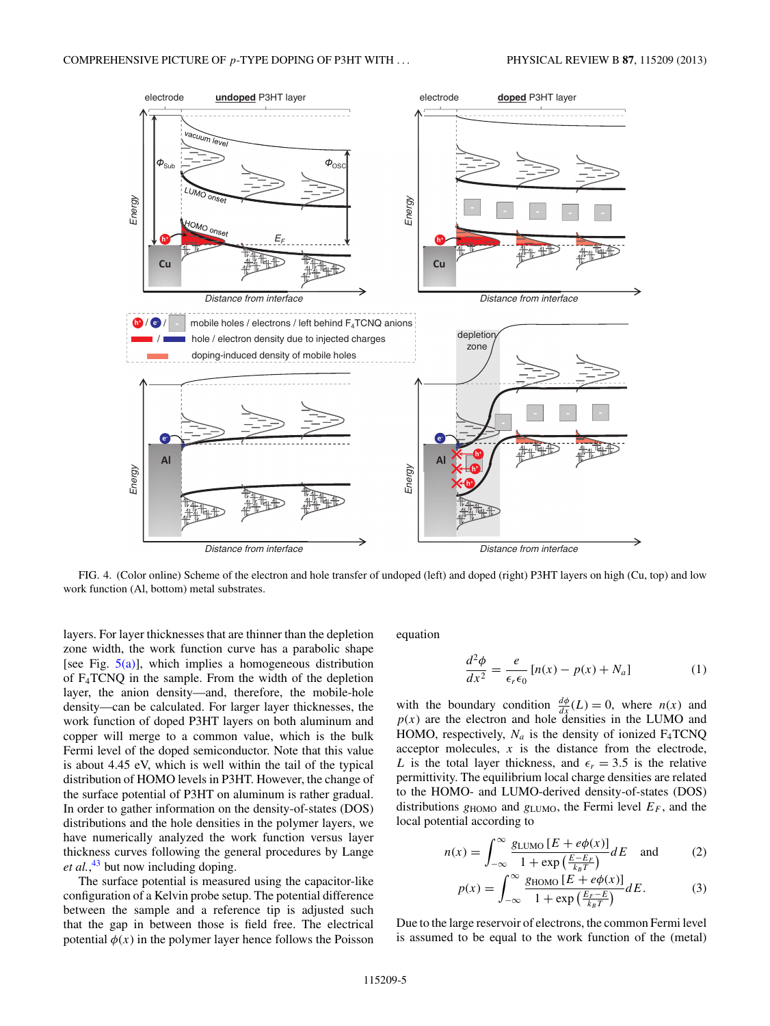<span id="page-4-0"></span>

FIG. 4. (Color online) Scheme of the electron and hole transfer of undoped (left) and doped (right) P3HT layers on high (Cu, top) and low work function (Al, bottom) metal substrates.

layers. For layer thicknesses that are thinner than the depletion zone width, the work function curve has a parabolic shape [see Fig.  $5(a)$ ], which implies a homogeneous distribution of F4TCNQ in the sample. From the width of the depletion layer, the anion density—and, therefore, the mobile-hole density—can be calculated. For larger layer thicknesses, the work function of doped P3HT layers on both aluminum and copper will merge to a common value, which is the bulk Fermi level of the doped semiconductor. Note that this value is about 4.45 eV, which is well within the tail of the typical distribution of HOMO levels in P3HT. However, the change of the surface potential of P3HT on aluminum is rather gradual. In order to gather information on the density-of-states (DOS) distributions and the hole densities in the polymer layers, we have numerically analyzed the work function versus layer thickness curves following the general procedures by Lange *et al.*, [43](#page-8-0) but now including doping.

The surface potential is measured using the capacitor-like configuration of a Kelvin probe setup. The potential difference between the sample and a reference tip is adjusted such that the gap in between those is field free. The electrical potential  $\phi(x)$  in the polymer layer hence follows the Poisson equation

$$
\frac{d^2\phi}{dx^2} = \frac{e}{\epsilon_r \epsilon_0} \left[ n(x) - p(x) + N_a \right] \tag{1}
$$

with the boundary condition  $\frac{d\phi}{dx}(L) = 0$ , where *n*(*x*) and  $p(x)$  are the electron and hole densities in the LUMO and HOMO, respectively,  $N_a$  is the density of ionized  $F_4TCNQ$ acceptor molecules, *x* is the distance from the electrode, *L* is the total layer thickness, and  $\epsilon_r = 3.5$  is the relative permittivity. The equilibrium local charge densities are related to the HOMO- and LUMO-derived density-of-states (DOS) distributions  $g_{HOMO}$  and  $g_{LUMO}$ , the Fermi level  $E_F$ , and the local potential according to

$$
n(x) = \int_{-\infty}^{\infty} \frac{g_{\text{LUMO}} \left[ E + e\phi(x) \right]}{1 + \exp\left(\frac{E - E_F}{k_B T}\right)} dE \quad \text{and} \quad (2)
$$

$$
p(x) = \int_{-\infty}^{\infty} \frac{g_{\text{HOMO}}[E + e\phi(x)]}{1 + \exp\left(\frac{E_F - E}{k_B T}\right)} dE. \tag{3}
$$

Due to the large reservoir of electrons, the common Fermi level is assumed to be equal to the work function of the (metal)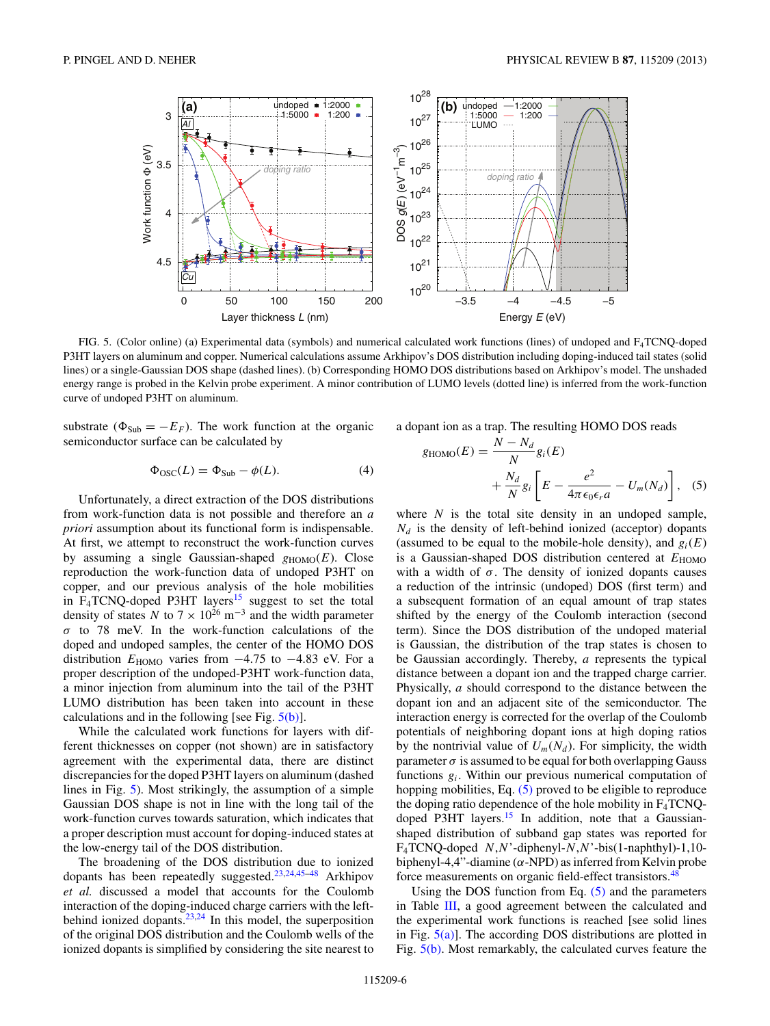<span id="page-5-0"></span>

FIG. 5. (Color online) (a) Experimental data (symbols) and numerical calculated work functions (lines) of undoped and F4TCNQ-doped P3HT layers on aluminum and copper. Numerical calculations assume Arkhipov's DOS distribution including doping-induced tail states (solid lines) or a single-Gaussian DOS shape (dashed lines). (b) Corresponding HOMO DOS distributions based on Arkhipov's model. The unshaded energy range is probed in the Kelvin probe experiment. A minor contribution of LUMO levels (dotted line) is inferred from the work-function curve of undoped P3HT on aluminum.

substrate ( $\Phi_{\text{Sub}} = -E_F$ ). The work function at the organic semiconductor surface can be calculated by

$$
\Phi_{\rm OSC}(L) = \Phi_{\rm Sub} - \phi(L). \tag{4}
$$

Unfortunately, a direct extraction of the DOS distributions from work-function data is not possible and therefore an *a priori* assumption about its functional form is indispensable. At first, we attempt to reconstruct the work-function curves by assuming a single Gaussian-shaped  $g_{HOMO}(E)$ . Close reproduction the work-function data of undoped P3HT on copper, and our previous analysis of the hole mobilities in  $F_4TCNQ$ -doped P3HT layers<sup>[15](#page-8-0)</sup> suggest to set the total density of states *N* to  $7 \times 10^{26}$  m<sup>-3</sup> and the width parameter *σ* to 78 meV. In the work-function calculations of the doped and undoped samples, the center of the HOMO DOS distribution  $E_{\text{HOMO}}$  varies from  $-4.75$  to  $-4.83$  eV. For a proper description of the undoped-P3HT work-function data, a minor injection from aluminum into the tail of the P3HT LUMO distribution has been taken into account in these calculations and in the following [see Fig.  $5(b)$ ].

While the calculated work functions for layers with different thicknesses on copper (not shown) are in satisfactory agreement with the experimental data, there are distinct discrepancies for the doped P3HT layers on aluminum (dashed lines in Fig. 5). Most strikingly, the assumption of a simple Gaussian DOS shape is not in line with the long tail of the work-function curves towards saturation, which indicates that a proper description must account for doping-induced states at the low-energy tail of the DOS distribution.

The broadening of the DOS distribution due to ionized dopants has been repeatedly suggested.[23,24,45–48](#page-8-0) Arkhipov *et al.* discussed a model that accounts for the Coulomb interaction of the doping-induced charge carriers with the leftbehind ionized dopants. $23,24$  In this model, the superposition of the original DOS distribution and the Coulomb wells of the ionized dopants is simplified by considering the site nearest to

a dopant ion as a trap. The resulting HOMO DOS reads

$$
g_{\text{HOMO}}(E) = \frac{N - N_d}{N} g_i(E)
$$

$$
+ \frac{N_d}{N} g_i \left[ E - \frac{e^2}{4\pi \epsilon_0 \epsilon_r a} - U_m(N_d) \right], \quad (5)
$$

where *N* is the total site density in an undoped sample,  $N_d$  is the density of left-behind ionized (acceptor) dopants (assumed to be equal to the mobile-hole density), and  $g_i(E)$ is a Gaussian-shaped DOS distribution centered at  $E_{\text{HOMO}}$ with a width of  $\sigma$ . The density of ionized dopants causes a reduction of the intrinsic (undoped) DOS (first term) and a subsequent formation of an equal amount of trap states shifted by the energy of the Coulomb interaction (second term). Since the DOS distribution of the undoped material is Gaussian, the distribution of the trap states is chosen to be Gaussian accordingly. Thereby, *a* represents the typical distance between a dopant ion and the trapped charge carrier. Physically, *a* should correspond to the distance between the dopant ion and an adjacent site of the semiconductor. The interaction energy is corrected for the overlap of the Coulomb potentials of neighboring dopant ions at high doping ratios by the nontrivial value of  $U_m(N_d)$ . For simplicity, the width parameter  $\sigma$  is assumed to be equal for both overlapping Gauss functions *gi*. Within our previous numerical computation of hopping mobilities, Eq. (5) proved to be eligible to reproduce the doping ratio dependence of the hole mobility in  $F_4TCNQ$ doped P3HT layers.<sup>15</sup> In addition, note that a Gaussianshaped distribution of subband gap states was reported for F4TCNQ-doped *N*,*N*'-diphenyl-*N*,*N*'-bis(1-naphthyl)-1,10 biphenyl-4,4"-diamine (*α*-NPD) as inferred from Kelvin probe force measurements on organic field-effect transistors.<sup>[48](#page-8-0)</sup>

Using the DOS function from Eq.  $(5)$  and the parameters in Table [III,](#page-6-0) a good agreement between the calculated and the experimental work functions is reached [see solid lines in Fig.  $5(a)$ ]. The according DOS distributions are plotted in Fig. 5(b). Most remarkably, the calculated curves feature the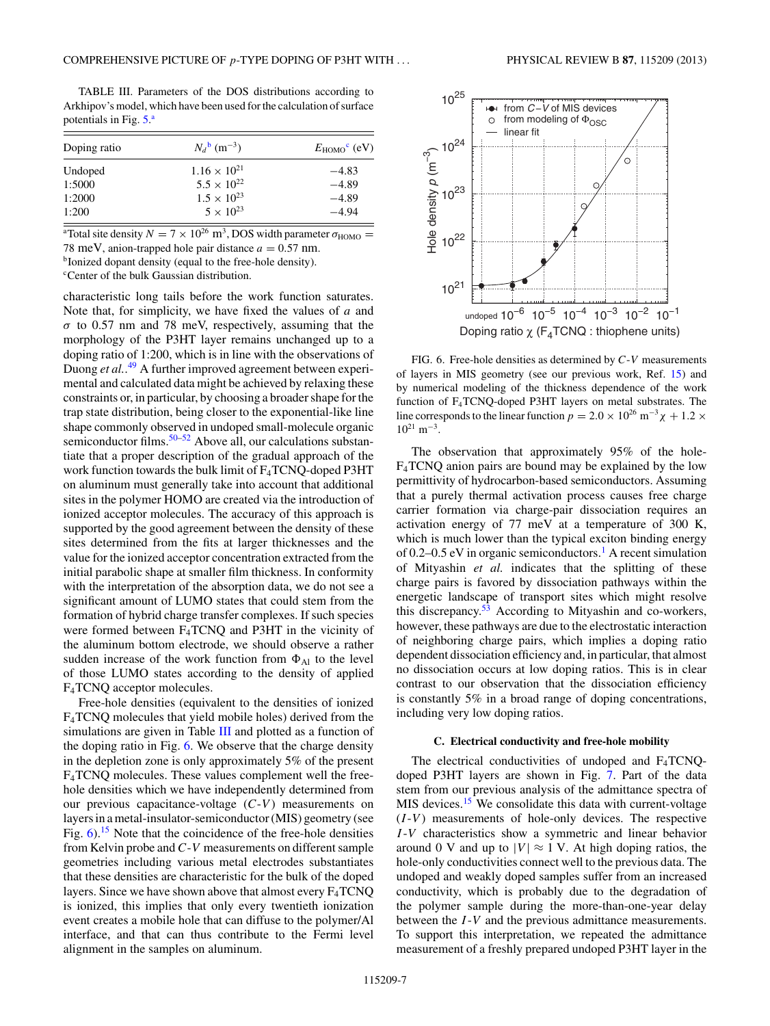<span id="page-6-0"></span>TABLE III. Parameters of the DOS distributions according to Arkhipov's model, which have been used for the calculation of surface potentials in Fig. [5.](#page-5-0)<sup>a</sup>

| Doping ratio | $N_d^{b}$ (m <sup>-3</sup> ) | $E_{\text{HOMO}}^{\text{c}}$ (eV) |
|--------------|------------------------------|-----------------------------------|
| Undoped      | $1.16 \times 10^{21}$        | $-4.83$                           |
| 1:5000       | $5.5 \times 10^{22}$         | $-4.89$                           |
| 1:2000       | $1.5 \times 10^{23}$         | $-4.89$                           |
| 1:200        | $5 \times 10^{23}$           | $-4.94$                           |

<sup>a</sup>Total site density *N* = 7 × 10<sup>26</sup> m<sup>3</sup>, DOS width parameter  $\sigma_{\text{HOMO}} =$ 78 meV, anion-trapped hole pair distance  $a = 0.57$  nm. bIonized dopant density (equal to the free-hole density).

c Center of the bulk Gaussian distribution.

characteristic long tails before the work function saturates. Note that, for simplicity, we have fixed the values of *a* and *σ* to 0.57 nm and 78 meV, respectively, assuming that the morphology of the P3HT layer remains unchanged up to a doping ratio of 1:200, which is in line with the observations of Duong *et al.*. [49](#page-8-0) A further improved agreement between experimental and calculated data might be achieved by relaxing these constraints or, in particular, by choosing a broader shape for the trap state distribution, being closer to the exponential-like line shape commonly observed in undoped small-molecule organic semiconductor films.<sup>[50–52](#page-8-0)</sup> Above all, our calculations substantiate that a proper description of the gradual approach of the work function towards the bulk limit of F4TCNQ-doped P3HT on aluminum must generally take into account that additional sites in the polymer HOMO are created via the introduction of ionized acceptor molecules. The accuracy of this approach is supported by the good agreement between the density of these sites determined from the fits at larger thicknesses and the value for the ionized acceptor concentration extracted from the initial parabolic shape at smaller film thickness. In conformity with the interpretation of the absorption data, we do not see a significant amount of LUMO states that could stem from the formation of hybrid charge transfer complexes. If such species were formed between F4TCNQ and P3HT in the vicinity of the aluminum bottom electrode, we should observe a rather sudden increase of the work function from  $\Phi_{\text{Al}}$  to the level of those LUMO states according to the density of applied F4TCNQ acceptor molecules.

Free-hole densities (equivalent to the densities of ionized F4TCNQ molecules that yield mobile holes) derived from the simulations are given in Table III and plotted as a function of the doping ratio in Fig. 6. We observe that the charge density in the depletion zone is only approximately 5% of the present F4TCNQ molecules. These values complement well the freehole densities which we have independently determined from our previous capacitance-voltage  $(C-V)$  measurements on layers in a metal-insulator-semiconductor (MIS) geometry (see Fig.  $6$ ).<sup>[15](#page-8-0)</sup> Note that the coincidence of the free-hole densities from Kelvin probe and *C*-*V* measurements on different sample geometries including various metal electrodes substantiates that these densities are characteristic for the bulk of the doped layers. Since we have shown above that almost every F4TCNQ is ionized, this implies that only every twentieth ionization event creates a mobile hole that can diffuse to the polymer/Al interface, and that can thus contribute to the Fermi level alignment in the samples on aluminum.



FIG. 6. Free-hole densities as determined by *C*-*V* measurements of layers in MIS geometry (see our previous work, Ref. [15\)](#page-8-0) and by numerical modeling of the thickness dependence of the work function of F4TCNQ-doped P3HT layers on metal substrates. The line corresponds to the linear function  $p = 2.0 \times 10^{26} \text{ m}^{-3} \chi + 1.2 \times$  $10^{21}$  m<sup>-3</sup>.

The observation that approximately 95% of the hole-F4TCNQ anion pairs are bound may be explained by the low permittivity of hydrocarbon-based semiconductors. Assuming that a purely thermal activation process causes free charge carrier formation via charge-pair dissociation requires an activation energy of 77 meV at a temperature of 300 K, which is much lower than the typical exciton binding energy of 0.2–0.5 eV in organic semiconductors.<sup>1</sup> A recent simulation of Mityashin *et al.* indicates that the splitting of these charge pairs is favored by dissociation pathways within the energetic landscape of transport sites which might resolve this discrepancy.<sup>53</sup> According to Mityashin and co-workers, however, these pathways are due to the electrostatic interaction of neighboring charge pairs, which implies a doping ratio dependent dissociation efficiency and, in particular, that almost no dissociation occurs at low doping ratios. This is in clear contrast to our observation that the dissociation efficiency is constantly 5% in a broad range of doping concentrations, including very low doping ratios.

#### **C. Electrical conductivity and free-hole mobility**

The electrical conductivities of undoped and F4TCNQdoped P3HT layers are shown in Fig. [7.](#page-7-0) Part of the data stem from our previous analysis of the admittance spectra of MIS devices.<sup>15</sup> We consolidate this data with current-voltage (*I* -*V* ) measurements of hole-only devices. The respective *I* -*V* characteristics show a symmetric and linear behavior around 0 V and up to  $|V| \approx 1$  V. At high doping ratios, the hole-only conductivities connect well to the previous data. The undoped and weakly doped samples suffer from an increased conductivity, which is probably due to the degradation of the polymer sample during the more-than-one-year delay between the *I* -*V* and the previous admittance measurements. To support this interpretation, we repeated the admittance measurement of a freshly prepared undoped P3HT layer in the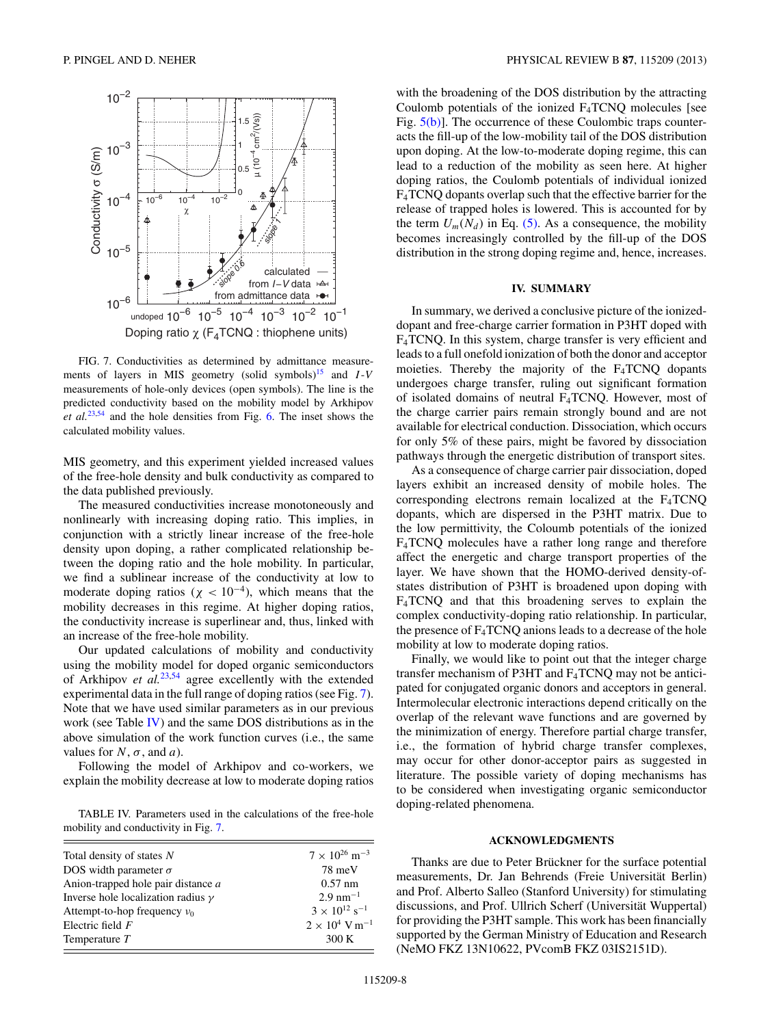<span id="page-7-0"></span>

FIG. 7. Conductivities as determined by admittance measurements of layers in MIS geometry (solid symbols)<sup>15</sup> and  $I-V$ measurements of hole-only devices (open symbols). The line is the predicted conductivity based on the mobility model by Arkhipov *et al.*[23,54](#page-8-0) and the hole densities from Fig. [6.](#page-6-0) The inset shows the calculated mobility values.

MIS geometry, and this experiment yielded increased values of the free-hole density and bulk conductivity as compared to the data published previously.

The measured conductivities increase monotoneously and nonlinearly with increasing doping ratio. This implies, in conjunction with a strictly linear increase of the free-hole density upon doping, a rather complicated relationship between the doping ratio and the hole mobility. In particular, we find a sublinear increase of the conductivity at low to moderate doping ratios ( $\chi$  < 10<sup>-4</sup>), which means that the mobility decreases in this regime. At higher doping ratios, the conductivity increase is superlinear and, thus, linked with an increase of the free-hole mobility.

Our updated calculations of mobility and conductivity using the mobility model for doped organic semiconductors of Arkhipov *et al.*[23,54](#page-8-0) agree excellently with the extended experimental data in the full range of doping ratios (see Fig. 7). Note that we have used similar parameters as in our previous work (see Table IV) and the same DOS distributions as in the above simulation of the work function curves (i.e., the same values for  $N$ ,  $\sigma$ , and  $a$ ).

Following the model of Arkhipov and co-workers, we explain the mobility decrease at low to moderate doping ratios

TABLE IV. Parameters used in the calculations of the free-hole mobility and conductivity in Fig. 7.

| Total density of states N                 | $7 \times 10^{26}$ m <sup>-3</sup> |
|-------------------------------------------|------------------------------------|
| DOS width parameter $\sigma$              | $78 \text{ meV}$                   |
| Anion-trapped hole pair distance a        | $0.57$ nm                          |
| Inverse hole localization radius $\gamma$ | $2.9 \text{ nm}^{-1}$              |
| Attempt-to-hop frequency $v_0$            | $3 \times 10^{12}$ s <sup>-1</sup> |
| Electric field $F$                        | $2 \times 10^4$ V m <sup>-1</sup>  |
| Temperature $T$                           | 300K                               |

with the broadening of the DOS distribution by the attracting Coulomb potentials of the ionized  $F_4TCNQ$  molecules [see Fig.  $5(b)$ ]. The occurrence of these Coulombic traps counteracts the fill-up of the low-mobility tail of the DOS distribution upon doping. At the low-to-moderate doping regime, this can lead to a reduction of the mobility as seen here. At higher doping ratios, the Coulomb potentials of individual ionized F4TCNQ dopants overlap such that the effective barrier for the release of trapped holes is lowered. This is accounted for by the term  $U_m(N_d)$  in Eq. [\(5\).](#page-5-0) As a consequence, the mobility becomes increasingly controlled by the fill-up of the DOS distribution in the strong doping regime and, hence, increases.

### **IV. SUMMARY**

In summary, we derived a conclusive picture of the ionizeddopant and free-charge carrier formation in P3HT doped with F4TCNQ. In this system, charge transfer is very efficient and leads to a full onefold ionization of both the donor and acceptor moieties. Thereby the majority of the  $F_4TCNQ$  dopants undergoes charge transfer, ruling out significant formation of isolated domains of neutral F4TCNQ. However, most of the charge carrier pairs remain strongly bound and are not available for electrical conduction. Dissociation, which occurs for only 5% of these pairs, might be favored by dissociation pathways through the energetic distribution of transport sites.

As a consequence of charge carrier pair dissociation, doped layers exhibit an increased density of mobile holes. The corresponding electrons remain localized at the  $F_4TCNQ$ dopants, which are dispersed in the P3HT matrix. Due to the low permittivity, the Coloumb potentials of the ionized F4TCNQ molecules have a rather long range and therefore affect the energetic and charge transport properties of the layer. We have shown that the HOMO-derived density-ofstates distribution of P3HT is broadened upon doping with F4TCNQ and that this broadening serves to explain the complex conductivity-doping ratio relationship. In particular, the presence of  $F_4TCNQ$  anions leads to a decrease of the hole mobility at low to moderate doping ratios.

Finally, we would like to point out that the integer charge transfer mechanism of P3HT and F4TCNQ may not be anticipated for conjugated organic donors and acceptors in general. Intermolecular electronic interactions depend critically on the overlap of the relevant wave functions and are governed by the minimization of energy. Therefore partial charge transfer, i.e., the formation of hybrid charge transfer complexes, may occur for other donor-acceptor pairs as suggested in literature. The possible variety of doping mechanisms has to be considered when investigating organic semiconductor doping-related phenomena.

#### **ACKNOWLEDGMENTS**

Thanks are due to Peter Brückner for the surface potential measurements, Dr. Jan Behrends (Freie Universität Berlin) and Prof. Alberto Salleo (Stanford University) for stimulating discussions, and Prof. Ullrich Scherf (Universität Wuppertal) for providing the P3HT sample. This work has been financially supported by the German Ministry of Education and Research (NeMO FKZ 13N10622, PVcomB FKZ 03IS2151D).